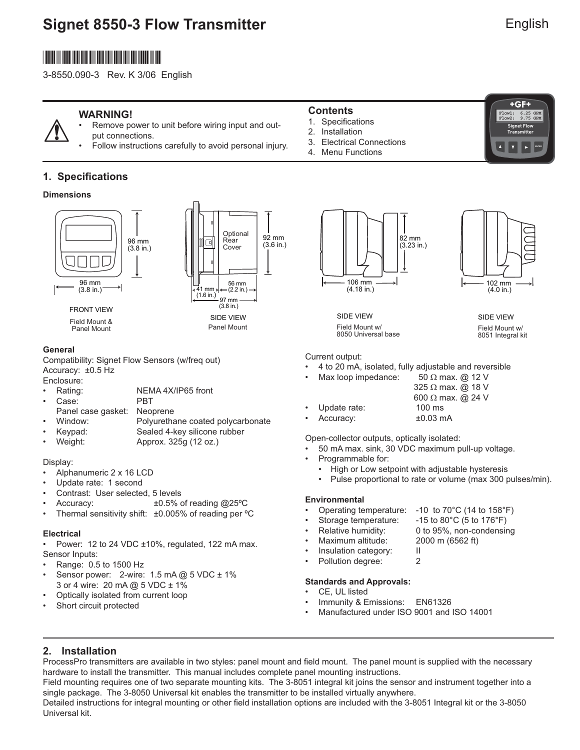# **Signet 8550-3 Flow Transmitter**

# English

**FRA**<br>9.75 GPM

**Signet Flow Transmitter**

 $+GF+$ 

**ENTER**

 $F1ow2:$ 

# \*3-8550.090-3\*

3-8550.090-3 Rev. K 3/06 English

## **WARNING!**

- Remove power to unit before wiring input and output connections.
	- Follow instructions carefully to avoid personal injury.

## **1. Specifications**

#### **Dimensions**





Field Mount & Panel Mount

#### **General**

Compatibility: Signet Flow Sensors (w/freq out) Accuracy: ±0.5 Hz

Enclosure:

- Rating: NEMA 4X/IP65 front
	- Case: PBT
	- Panel case gasket: Neoprene
- Window: Polyurethane coated polycarbonate
- Keypad: Sealed 4-key silicone rubber • Weight: Approx. 325g (12 oz.)

#### Display:

- Alphanumeric 2 x 16 LCD
- Update rate: 1 second
- Contrast: User selected, 5 levels
- Accuracy: ±0.5% of reading @25ºC
- Thermal sensitivity shift: ±0.005% of reading per °C

#### **Electrical**

• Power: 12 to 24 VDC ±10%, regulated, 122 mA max. Sensor Inputs:

- Range: 0.5 to 1500 Hz
- Sensor power:  $2$ -wire: 1.5 mA @ 5 VDC  $\pm$  1% 3 or 4 wire: 20 mA @ 5 VDC ± 1%
- Optically isolated from current loop
- Short circuit protected

### **Contents**

- 1. Specifications
- 2. Installation
- 3. Electrical Connections
- 4. Menu Functions





SIDE VIEW Field Mount w/ 8050 Universal base SIDE VIEW

Field Mount w/ 8051 Integral kit

Current output:

• 4 to 20 mA, isolated, fully adjustable and reversible

| ٠         | Max loop impedance: | 50 $\Omega$ max. @ 12 V  |
|-----------|---------------------|--------------------------|
|           |                     | 325 $\Omega$ max. @ 18 V |
|           |                     | 600 $\Omega$ max. @ 24 V |
| $\bullet$ | Update rate:        | $100 \text{ ms}$         |

• Accuracy: ±0.03 mA

Open-collector outputs, optically isolated:

- 50 mA max. sink, 30 VDC maximum pull-up voltage.
- Programmable for:
	- High or Low setpoint with adjustable hysteresis
	- Pulse proportional to rate or volume (max 300 pulses/min).

#### **Environmental**

- Operating temperature: -10 to 70°C (14 to 158°F)
	- Storage temperature: -15 to 80°C (5 to 176°F)
- Relative humidity: 0 to 95%, non-condensing
	- Maximum altitude: 2000 m (6562 ft)
- Insulation category: II
	- Pollution degree: 2
	-

#### **Standards and Approvals:**

- CE, UL listed
- Immunity & Emissions: EN61326
- Manufactured under ISO 9001 and ISO 14001

## **2. Installation**

ProcessPro transmitters are available in two styles: panel mount and field mount. The panel mount is supplied with the necessary hardware to install the transmitter. This manual includes complete panel mounting instructions.

Field mounting requires one of two separate mounting kits. The 3-8051 integral kit joins the sensor and instrument together into a single package. The 3-8050 Universal kit enables the transmitter to be installed virtually anywhere.

Detailed instructions for integral mounting or other field installation options are included with the 3-8051 Integral kit or the 3-8050 Universal kit.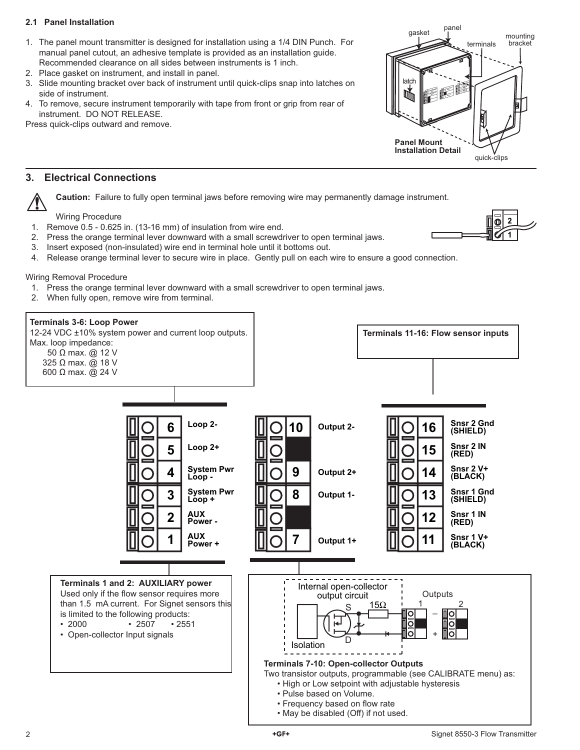#### **2.1 Panel Installation**

- 1. The panel mount transmitter is designed for installation using a 1/4 DIN Punch. For manual panel cutout, an adhesive template is provided as an installation guide. Recommended clearance on all sides between instruments is 1 inch.
- 2. Place gasket on instrument, and install in panel.
- 3. Slide mounting bracket over back of instrument until quick-clips snap into latches on side of instrument.
- 4. To remove, secure instrument temporarily with tape from front or grip from rear of instrument. DO NOT RELEASE.

Press quick-clips outward and remove.

### **3. Electrical Connections**

**Caution:** Failure to fully open terminal jaws before removing wire may permanently damage instrument.

Wiring Procedure

- 1. Remove 0.5 0.625 in. (13-16 mm) of insulation from wire end.
- 2. Press the orange terminal lever downward with a small screwdriver to open terminal jaws.
- 3. Insert exposed (non-insulated) wire end in terminal hole until it bottoms out.
- 4. Release orange terminal lever to secure wire in place. Gently pull on each wire to ensure a good connection.

Wiring Removal Procedure

- 1. Press the orange terminal lever downward with a small screwdriver to open terminal jaws.
- 2. When fully open, remove wire from terminal.



**2 1**

gasket panel

**Output <sup>+</sup> System Pw<sup>r</sup> Loop - System Pw<sup>r</sup> <sup>4</sup>**

**Sensr Gn<sup>d</sup> (SHIELD) Sensr IN (RED) Sensr V+ (BLACK) 5**

latch

呗

**Panel Mount Installation Detail**

quick-clips

terminals

mounting bracket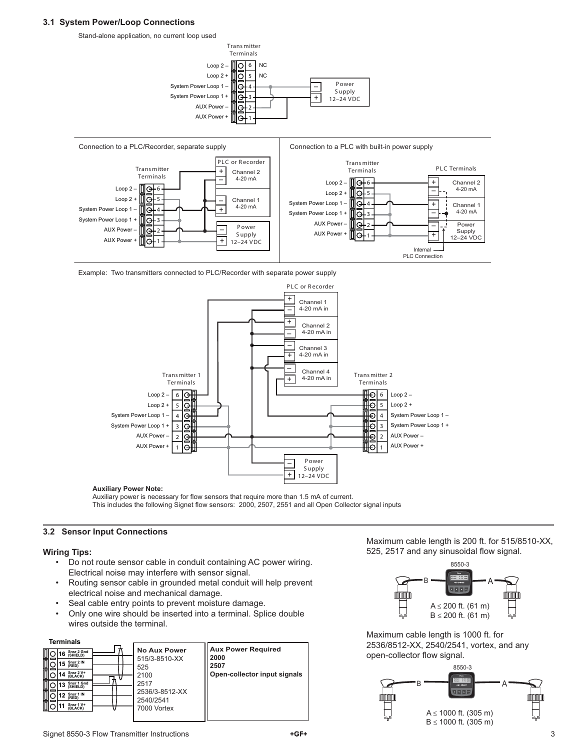#### **3.1 System Power/Loop Connections**

Stand-alone application, no current loop used





Example: Two transmitters connected to PLC/Recorder with separate power supply



#### **Auxiliary Power Note:**

Auxiliary power is necessary for flow sensors that require more than 1.5 mA of current. This includes the following Signet flow sensors: 2000, 2507, 2551 and all Open Collector signal inputs

#### **3.2 Sensor Input Connections**

#### **Wiring Tips:**

- Do not route sensor cable in conduit containing AC power wiring. Electrical noise may interfere with sensor signal.
- Routing sensor cable in grounded metal conduit will help prevent electrical noise and mechanical damage.
- Seal cable entry points to prevent moisture damage.
- Only one wire should be inserted into a terminal. Splice double wires outside the terminal.

**Terminals**



Maximum cable length is 200 ft. for 515/8510-XX, 525, 2517 and any sinusoidal flow signal.



Maximum cable length is 1000 ft. for 2536/8512-XX, 2540/2541, vortex, and any open-collector flow signal.

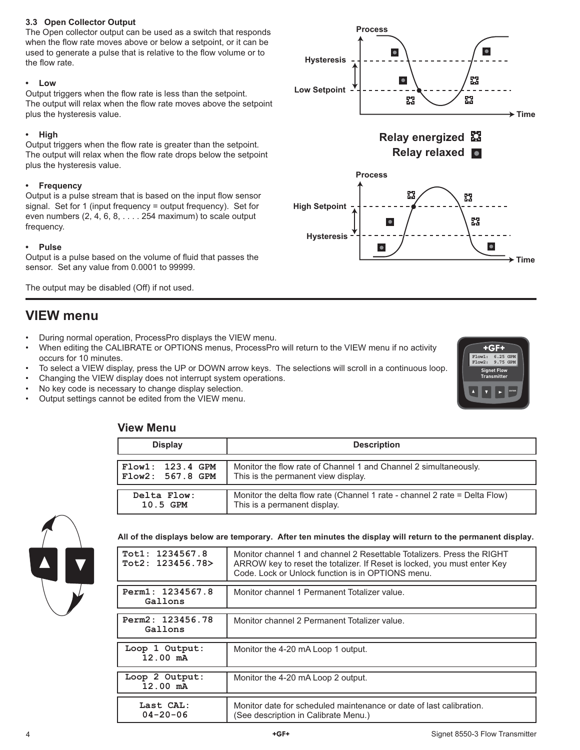#### **3.3 Open Collector Output**

The Open collector output can be used as a switch that responds when the flow rate moves above or below a setpoint, or it can be used to generate a pulse that is relative to the flow volume or to the flow rate.

#### **• Low**

Output triggers when the flow rate is less than the setpoint. The output will relax when the flow rate moves above the setpoint plus the hysteresis value.

#### **• High**

Output triggers when the flow rate is greater than the setpoint. The output will relax when the flow rate drops below the setpoint plus the hysteresis value.

#### **• Frequency**

Output is a pulse stream that is based on the input flow sensor signal. Set for 1 (input frequency = output frequency). Set for even numbers (2, 4, 6, 8, . . . . 254 maximum) to scale output frequency.

#### **• Pulse**

Output is a pulse based on the volume of fluid that passes the sensor. Set any value from 0.0001 to 99999.

The output may be disabled (Off) if not used.

## **VIEW menu**

- During normal operation, ProcessPro displays the VIEW menu.
- When editing the CALIBRATE or OPTIONS menus, ProcessPro will return to the VIEW menu if no activity occurs for 10 minutes.
- To select a VIEW display, press the UP or DOWN arrow keys. The selections will scroll in a continuous loop.
- Changing the VIEW display does not interrupt system operations.
- No key code is necessary to change display selection.
- Output settings cannot be edited from the VIEW menu.





## **View Menu**

| .                       |                                                                            |  |
|-------------------------|----------------------------------------------------------------------------|--|
| <b>Display</b>          | <b>Description</b>                                                         |  |
| Flow1: 123.4 GPM        | Monitor the flow rate of Channel 1 and Channel 2 simultaneously.           |  |
| $ $ Flow $2:$ 567.8 GPM | This is the permanent view display.                                        |  |
| Delta Flow:             | Monitor the delta flow rate (Channel 1 rate - channel 2 rate = Delta Flow) |  |
| 10.5 GPM                | This is a permanent display.                                               |  |



**All of the displays below are temporary. After ten minutes the display will return to the permanent display.**

| Tot1: 1234567.8<br>Tot2: 123456.78> | Monitor channel 1 and channel 2 Resettable Totalizers. Press the RIGHT<br>ARROW key to reset the totalizer. If Reset is locked, you must enter Key<br>Code, Lock or Unlock function is in OPTIONS menu. |
|-------------------------------------|---------------------------------------------------------------------------------------------------------------------------------------------------------------------------------------------------------|
|                                     |                                                                                                                                                                                                         |
| Perm1: 1234567.8<br>Gallons         | Monitor channel 1 Permanent Totalizer value.                                                                                                                                                            |
|                                     |                                                                                                                                                                                                         |
| Perm2: 123456.78<br>Gallons         | Monitor channel 2 Permanent Totalizer value.                                                                                                                                                            |
|                                     |                                                                                                                                                                                                         |
|                                     |                                                                                                                                                                                                         |
| Loop 1 Output:<br>12.00 mA          | Monitor the 4-20 mA Loop 1 output.                                                                                                                                                                      |
|                                     |                                                                                                                                                                                                         |
| Loop 2 Output:<br>$12.00$ mA        | Monitor the 4-20 mA Loop 2 output.                                                                                                                                                                      |
|                                     |                                                                                                                                                                                                         |
| Last CAL:<br>$04 - 20 - 06$         | Monitor date for scheduled maintenance or date of last calibration.<br>(See description in Calibrate Menu.)                                                                                             |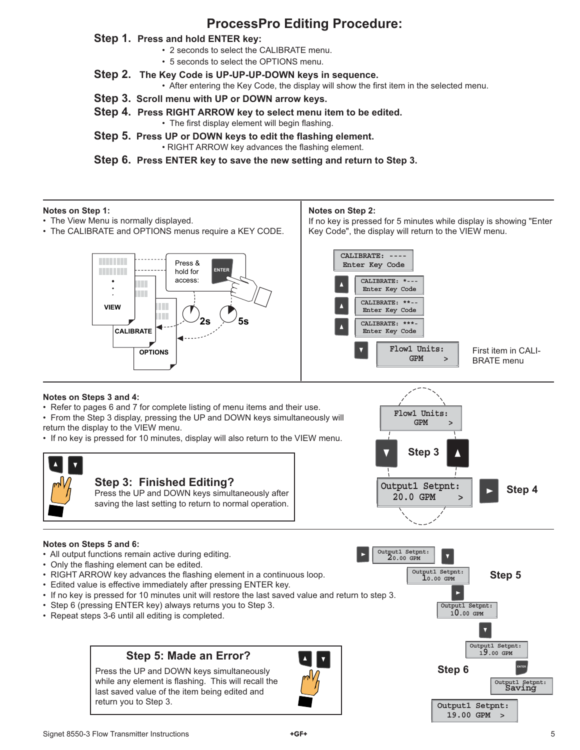## **ProcessPro Editing Procedure:**

### **Step 1. Press and hold ENTER key:**

- 2 seconds to select the CALIBRATE menu.
- 5 seconds to select the OPTIONS menu.
- **Step 2. The Key Code is UP-UP-UP-DOWN keys in sequence.**
	- After entering the Key Code, the display will show the first item in the selected menu.
- **Step 3. Scroll menu with UP or DOWN arrow keys.**
- **Step 4. Press RIGHT ARROW key to select menu item to be edited.** • The first display element will begin flashing.
- **Step 5. Press UP or DOWN keys to edit the flashing element.** • RIGHT ARROW key advances the flashing element.

**Step 6. Press ENTER key to save the new setting and return to Step 3.**

#### **Notes on Step 1:**

- The View Menu is normally displayed.
- The CALIBRATE and OPTIONS menus require a KEY CODE.

#### **Notes on Step 2:**

If no key is pressed for 5 minutes while display is showing "Enter Key Code", the display will return to the VIEW menu.

> **GPM > Flow1 Units:**



#### **Notes on Steps 3 and 4:**

• Refer to pages 6 and 7 for complete listing of menu items and their use.

• From the Step 3 display, pressing the UP and DOWN keys simultaneously will return the display to the VIEW menu.

• If no key is pressed for 10 minutes, display will also return to the VIEW menu.



#### **Notes on Steps 5 and 6:**

- All output functions remain active during editing.
- Only the flashing element can be edited.
- RIGHT ARROW key advances the flashing element in a continuous loop.
- Edited value is effective immediately after pressing ENTER key.
- If no key is pressed for 10 minutes unit will restore the last saved value and return to step 3.
- Step 6 (pressing ENTER key) always returns you to Step 3.
- Repeat steps 3-6 until all editing is completed.

## **Step 5: Made an Error?**

Press the UP and DOWN keys simultaneously while any element is flashing. This will recall the last saved value of the item being edited and return you to Step 3.





 **19.00 GPM >**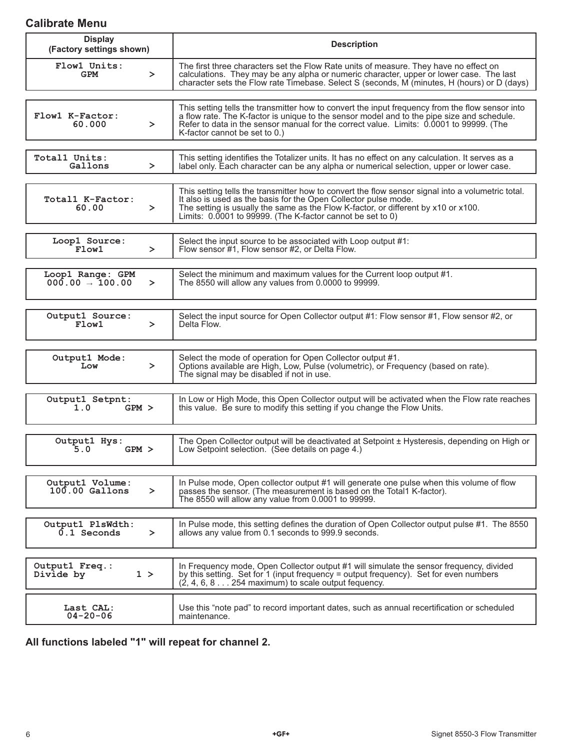## **Calibrate Menu**

| <b>Display</b><br>(Factory settings shown)           | <b>Description</b>                                                                                                                                                                                                                                                                                                        |  |
|------------------------------------------------------|---------------------------------------------------------------------------------------------------------------------------------------------------------------------------------------------------------------------------------------------------------------------------------------------------------------------------|--|
| Flow1 Units:<br><b>GPM</b><br>$\geq$                 | The first three characters set the Flow Rate units of measure. They have no effect on<br>calculations. They may be any alpha or numeric character, upper or lower case. The last<br>character sets the Flow rate Timebase. Select S (seconds, M (minutes, H (hours) or D (days)                                           |  |
| Flow1 K-Factor:<br>60.000<br>≻                       | This setting tells the transmitter how to convert the input frequency from the flow sensor into<br>a flow rate. The K-factor is unique to the sensor model and to the pipe size and schedule.<br>Refer to data in the sensor manual for the correct value. Limits: 0.0001 to 99999. (The<br>K-factor cannot be set to 0.) |  |
| Total1 Units:<br>Gallons<br>≻                        | This setting identifies the Totalizer units. It has no effect on any calculation. It serves as a<br>label only. Each character can be any alpha or numerical selection, upper or lower case.                                                                                                                              |  |
| Totall K-Factor:<br>60.00<br>≻                       | This setting tells the transmitter how to convert the flow sensor signal into a volumetric total.<br>It also is used as the basis for the Open Collector pulse mode.<br>The setting is usually the same as the Flow K-factor, or different by x10 or x100.<br>Limits: 0.0001 to 99999. (The K-factor cannot be set to 0)  |  |
| Loop1 Source:<br>Flow1<br>$\geq$                     | Select the input source to be associated with Loop output #1:<br>Flow sensor #1, Flow sensor #2, or Delta Flow.                                                                                                                                                                                                           |  |
| Loop1 Range: GPM<br>$000.00 \rightarrow 100.00$<br>≻ | Select the minimum and maximum values for the Current loop output #1.<br>The 8550 will allow any values from 0.0000 to 99999.                                                                                                                                                                                             |  |
| Output1 Source:<br>Flow1<br>$\geq$                   | Select the input source for Open Collector output #1: Flow sensor #1, Flow sensor #2, or<br>Delta Flow.                                                                                                                                                                                                                   |  |
| Output1 Mode:<br>$\geq$<br>Low                       | Select the mode of operation for Open Collector output #1.<br>Options available are High, Low, Pulse (volumetric), or Frequency (based on rate).<br>The signal may be disabled if not in use.                                                                                                                             |  |
| Output1 Setpnt:<br>$GPM$ ><br>1.0                    | In Low or High Mode, this Open Collector output will be activated when the Flow rate reaches<br>this value. Be sure to modify this setting if you change the Flow Units.                                                                                                                                                  |  |
| Output1 Hys:<br>5.0<br>$GPM$ >                       | The Open Collector output will be deactivated at Setpoint ± Hysteresis, depending on High or<br>Low Setpoint selection. (See details on page 4.)                                                                                                                                                                          |  |
| Output1 Volume:<br>$100.00$ Gallons<br>≻             | In Pulse mode, Open collector output #1 will generate one pulse when this volume of flow<br>passes the sensor. (The measurement is based on the Total 1 K-factor).<br>The 8550 will allow any value from 0.0001 to 99999.                                                                                                 |  |
| Output1 PlsWdth:<br>$0.1$ Seconds<br>$\geq$          | In Pulse mode, this setting defines the duration of Open Collector output pulse #1. The 8550<br>allows any value from 0.1 seconds to 999.9 seconds.                                                                                                                                                                       |  |
| Output1 Freq.:<br>1 ><br>Divide by                   | In Frequency mode, Open Collector output #1 will simulate the sensor frequency, divided<br>by this setting. Set for 1 (input frequency = output frequency). Set for even numbers<br>$(2, 4, 6, 8, \ldots, 254$ maximum) to scale output fequency.                                                                         |  |
| Last CAL:<br>$04 - 20 - 06$                          | Use this "note pad" to record important dates, such as annual recertification or scheduled<br>maintenance.                                                                                                                                                                                                                |  |

**All functions labeled "1" will repeat for channel 2.**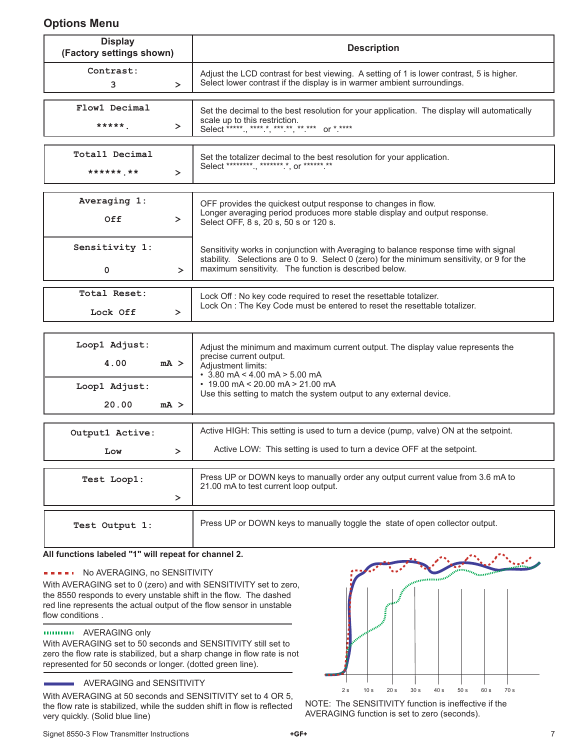## **Options Menu**

| <b>Display</b><br>(Factory settings shown)       | <b>Description</b>                                                                                                                                                                                                                                                                       |  |
|--------------------------------------------------|------------------------------------------------------------------------------------------------------------------------------------------------------------------------------------------------------------------------------------------------------------------------------------------|--|
| Contrast:<br>3<br>$\geq$                         | Adjust the LCD contrast for best viewing. A setting of 1 is lower contrast, 5 is higher.<br>Select lower contrast if the display is in warmer ambient surroundings.                                                                                                                      |  |
| Flow1 Decimal<br>*****<br>$\geq$                 | Set the decimal to the best resolution for your application. The display will automatically<br>scale up to this restriction.<br>Select *****., *****, ***.**, **.*** or *.****                                                                                                           |  |
| Total1 Decimal<br>****** **<br>$\geq$            | Set the totalizer decimal to the best resolution for your application.<br>Select *********., *******.*, or ******.**                                                                                                                                                                     |  |
| Averaging 1:<br>Off<br>$\geq$                    | OFF provides the quickest output response to changes in flow.<br>Longer averaging period produces more stable display and output response.<br>Select OFF, 8 s, 20 s, 50 s or 120 s.                                                                                                      |  |
| Sensitivity 1:<br>0<br>$\geq$                    | Sensitivity works in conjunction with Averaging to balance response time with signal<br>stability. Selections are 0 to 9. Select 0 (zero) for the minimum sensitivity, or 9 for the<br>maximum sensitivity. The function is described below.                                             |  |
| Total Reset:<br>Lock Off<br>$\geq$               | Lock Off : No key code required to reset the resettable totalizer.<br>Lock On : The Key Code must be entered to reset the resettable totalizer.                                                                                                                                          |  |
| Loop1 Adjust:<br>4.00<br>$mA$ ><br>Loop1 Adjust: | Adjust the minimum and maximum current output. The display value represents the<br>precise current output.<br>Adjustment limits:<br>$\cdot$ 3.80 mA < 4.00 mA > 5.00 mA<br>$\cdot$ 19.00 mA < 20.00 mA > 21.00 mA<br>Use this setting to match the system output to any external device. |  |
| 20.00<br>mA >                                    |                                                                                                                                                                                                                                                                                          |  |
| Output1 Active:<br>$\geq$<br>Low                 | Active HIGH: This setting is used to turn a device (pump, valve) ON at the setpoint.<br>Active LOW: This setting is used to turn a device OFF at the setpoint.                                                                                                                           |  |
| Test Loop1:                                      | Press UP or DOWN keys to manually order any output current value from 3.6 mA to<br>21.00 mA to test current loop output.                                                                                                                                                                 |  |

| Test Output 1: | Press UP or DOWN keys to manually toggle the state of open collector output. |
|----------------|------------------------------------------------------------------------------|

### **All functions labeled "1" will repeat for channel 2.**

## **NO AVERAGING, no SENSITIVITY**

With AVERAGING set to 0 (zero) and with SENSITIVITY set to zero, the 8550 responds to every unstable shift in the flow. The dashed red line represents the actual output of the flow sensor in unstable flow conditions.

### AVERAGING only

With AVERAGING set to 50 seconds and SENSITIVITY still set to zero the flow rate is stabilized, but a sharp change in flow rate is not represented for 50 seconds or longer. (dotted green line).

## AVERAGING and SENSITIVITY

With AVERAGING at 50 seconds and SENSITIVITY set to 4 OR 5, the flow rate is stabilized, while the sudden shift in flow is reflected very quickly. (Solid blue line)



NOTE: The SENSITIVITY function is ineffective if the AVERAGING function is set to zero (seconds).